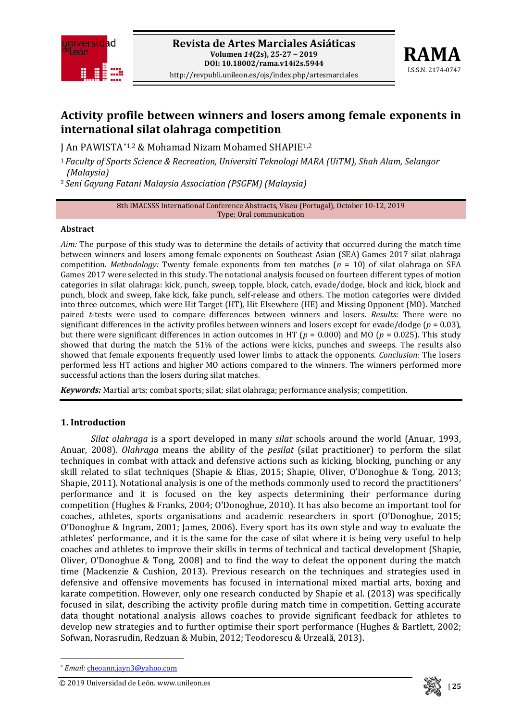



# **Activity profile between winners and losers among female exponents in international silat olahraga competition**

J An PAWISTA[\\*1](#page-0-0),2 & Mohamad Nizam Mohamed SHAPIE1,2

<sup>1</sup> *Faculty of Sports Science & Recreation, Universiti Teknologi MARA (UiTM), Shah Alam, Selangor (Malaysia)*

<sup>2</sup>*Seni Gayung Fatani Malaysia Association (PSGFM) (Malaysia)*

8th IMACSSS International Conference Abstracts, Viseu (Portugal), October 10-12, 2019 Type: Oral communication

#### **Abstract**

*Aim:* The purpose of this study was to determine the details of activity that occurred during the match time between winners and losers among female exponents on Southeast Asian (SEA) Games 2017 silat olahraga competition. *Methodology:* Twenty female exponents from ten matches (*n* = 10) of silat olahraga on SEA Games 2017 were selected in this study. The notational analysis focused on fourteen different types of motion categories in silat olahraga: kick, punch, sweep, topple, block, catch, evade/dodge, block and kick, block and punch, block and sweep, fake kick, fake punch, self-release and others. The motion categories were divided into three outcomes, which were Hit Target (HT), Hit Elsewhere (HE) and Missing Opponent (MO). Matched paired *t*-tests were used to compare differences between winners and losers. *Results:* There were no significant differences in the activity profiles between winners and losers except for evade/dodge ( $p = 0.03$ ), but there were significant differences in action outcomes in HT (*p* = 0.000) and MO (*p* = 0.025). This study showed that during the match the 51% of the actions were kicks, punches and sweeps. The results also showed that female exponents frequently used lower limbs to attack the opponents. *Conclusion:* The losers performed less HT actions and higher MO actions compared to the winners. The winners performed more successful actions than the losers during silat matches.

*Keywords:* Martial arts; combat sports; silat; silat olahraga; performance analysis; competition.

#### **1. Introduction**

*Silat olahraga* is a sport developed in many *silat* schools around the world (Anuar, 1993, Anuar, 2008). *Olahraga* means the ability of the *pesilat* (silat practitioner) to perform the silat techniques in combat with attack and defensive actions such as kicking, blocking, punching or any skill related to silat techniques (Shapie & Elias, 2015; Shapie, Oliver, O'Donoghue & Tong, 2013; Shapie, 2011). Notational analysis is one of the methods commonly used to record the practitioners' performance and it is focused on the key aspects determining their performance during competition (Hughes & Franks, 2004; O'Donoghue, 2010). It has also become an important tool for coaches, athletes, sports organisations and academic researchers in sport (O'Donoghue, 2015; O'Donoghue & Ingram, 2001; James, 2006). Every sport has its own style and way to evaluate the athletes' performance, and it is the same for the case of silat where it is being very useful to help coaches and athletes to improve their skills in terms of technical and tactical development (Shapie, Oliver, O'Donoghue & Tong, 2008) and to find the way to defeat the opponent during the match time (Mackenzie & Cushion, 2013). Previous research on the techniques and strategies used in defensive and offensive movements has focused in international mixed martial arts, boxing and karate competition. However, only one research conducted by Shapie et al. (2013) was specifically focused in silat, describing the activity profile during match time in competition. Getting accurate data thought notational analysis allows coaches to provide significant feedback for athletes to develop new strategies and to further optimise their sport performance (Hughes & Bartlett, 2002; Sofwan, Norasrudin, Redzuan & Mubin, 2012; Teodorescu & Urzeală, 2013).

**.** 

<span id="page-0-0"></span><sup>© 2019</sup> **| 25** Universidad de León. www.unileon.es



<sup>\*</sup> *Email:* [cheoann.jayn3@yahoo.com](mailto:cheoann.jayn3@yahoo.com)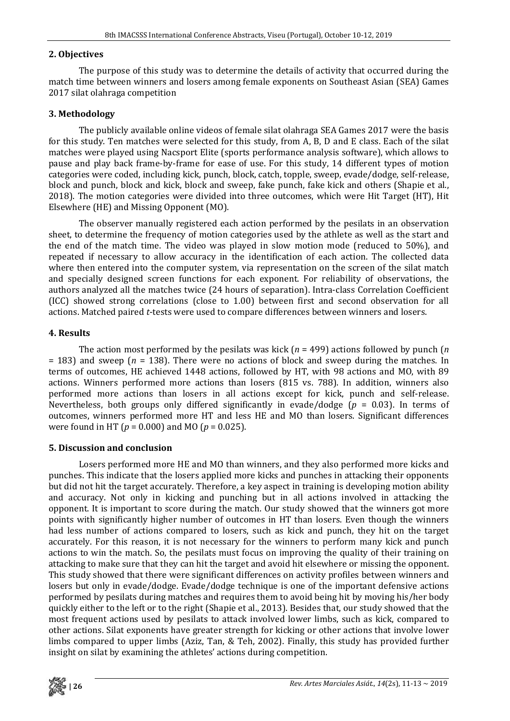### **2. Objectives**

The purpose of this study was to determine the details of activity that occurred during the match time between winners and losers among female exponents on Southeast Asian (SEA) Games 2017 silat olahraga competition

## **3. Methodology**

The publicly available online videos of female silat olahraga SEA Games 2017 were the basis for this study. Ten matches were selected for this study, from A, B, D and E class. Each of the silat matches were played using Nacsport Elite (sports performance analysis software), which allows to pause and play back frame-by-frame for ease of use. For this study, 14 different types of motion categories were coded, including kick, punch, block, catch, topple, sweep, evade/dodge, self-release, block and punch, block and kick, block and sweep, fake punch, fake kick and others (Shapie et al., 2018). The motion categories were divided into three outcomes, which were Hit Target (HT), Hit Elsewhere (HE) and Missing Opponent (MO).

The observer manually registered each action performed by the pesilats in an observation sheet, to determine the frequency of motion categories used by the athlete as well as the start and the end of the match time. The video was played in slow motion mode (reduced to 50%), and repeated if necessary to allow accuracy in the identification of each action. The collected data where then entered into the computer system, via representation on the screen of the silat match and specially designed screen functions for each exponent. For reliability of observations, the authors analyzed all the matches twice (24 hours of separation). Intra-class Correlation Coefficient (ICC) showed strong correlations (close to 1.00) between first and second observation for all actions. Matched paired *t*-tests were used to compare differences between winners and losers.

## **4. Results**

The action most performed by the pesilats was kick (*n* = 499) actions followed by punch (*n* = 183) and sweep (*n* = 138). There were no actions of block and sweep during the matches. In terms of outcomes, HE achieved 1448 actions, followed by HT, with 98 actions and MO, with 89 actions. Winners performed more actions than losers (815 vs. 788). In addition, winners also performed more actions than losers in all actions except for kick, punch and self-release. Nevertheless, both groups only differed significantly in evade/dodge (*p* = 0.03). In terms of outcomes, winners performed more HT and less HE and MO than losers. Significant differences were found in HT (*p* = 0.000) and MO (*p* = 0.025).

## **5. Discussion and conclusion**

Losers performed more HE and MO than winners, and they also performed more kicks and punches. This indicate that the losers applied more kicks and punches in attacking their opponents but did not hit the target accurately. Therefore, a key aspect in training is developing motion ability and accuracy. Not only in kicking and punching but in all actions involved in attacking the opponent. It is important to score during the match. Our study showed that the winners got more points with significantly higher number of outcomes in HT than losers. Even though the winners had less number of actions compared to losers, such as kick and punch, they hit on the target accurately. For this reason, it is not necessary for the winners to perform many kick and punch actions to win the match. So, the pesilats must focus on improving the quality of their training on attacking to make sure that they can hit the target and avoid hit elsewhere or missing the opponent. This study showed that there were significant differences on activity profiles between winners and losers but only in evade/dodge. Evade/dodge technique is one of the important defensive actions performed by pesilats during matches and requires them to avoid being hit by moving his/her body quickly either to the left or to the right (Shapie et al., 2013). Besides that, our study showed that the most frequent actions used by pesilats to attack involved lower limbs, such as kick, compared to other actions. Silat exponents have greater strength for kicking or other actions that involve lower limbs compared to upper limbs (Aziz, Tan, & Teh, 2002). Finally, this study has provided further insight on silat by examining the athletes' actions during competition.